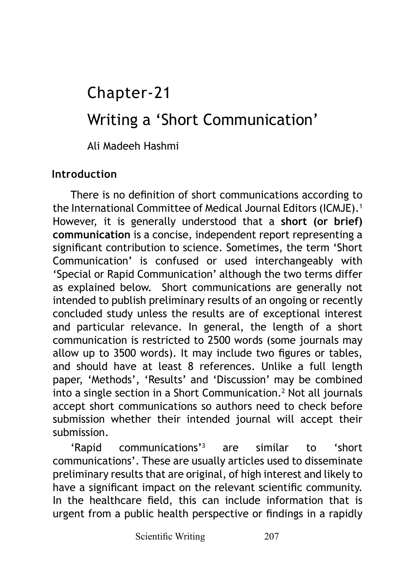# Writing a 'Short Communication' Chapter-21

Ali Madeeh Hashmi

## **Introduction**

There is no definition of short communications according to the International Committee of Medical Journal Editors (ICMJE).<sup>1</sup> However, it is generally understood that a **short (or brief) communication** is a concise, independent report representing a significant contribution to science. Sometimes, the term 'Short Communication' is confused or used interchangeably with 'Special or Rapid Communication' although the two terms differ as explained below. Short communications are generally not intended to publish preliminary results of an ongoing or recently concluded study unless the results are of exceptional interest and particular relevance. In general, the length of a short communication is restricted to 2500 words (some journals may allow up to 3500 words). It may include two figures or tables, and should have at least 8 references. Unlike a full length paper, 'Methods', 'Results' and 'Discussion' may be combined into a single section in a Short Communication.<sup>2</sup> Not all journals accept short communications so authors need to check before submission whether their intended journal will accept their submission.

'Rapid communications'3 are similar to 'short communications'. These are usually articles used to disseminate preliminary results that are original, of high interest and likely to have a significant impact on the relevant scientific community. In the healthcare field, this can include information that is urgent from a public health perspective or findings in a rapidly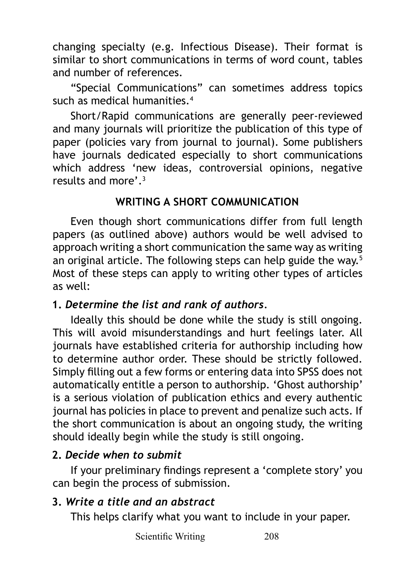changing specialty (e.g. Infectious Disease). Their format is similar to short communications in terms of word count, tables and number of references.

"Special Communications" can sometimes address topics such as medical humanities.<sup>4</sup>

Short/Rapid communications are generally peer-reviewed and many journals will prioritize the publication of this type of paper (policies vary from journal to journal). Some publishers have journals dedicated especially to short communications which address 'new ideas, controversial opinions, negative results and more'.<sup>3</sup>

#### **WRITING A SHORT COMMUNICATION**

Even though short communications differ from full length papers (as outlined above) authors would be well advised to approach writing a short communication the same way as writing an original article. The following steps can help guide the way.<sup>5</sup> Most of these steps can apply to writing other types of articles as well:

#### **1.** *Determine the list and rank of authors.*

Ideally this should be done while the study is still ongoing. This will avoid misunderstandings and hurt feelings later. All journals have established criteria for authorship including how to determine author order. These should be strictly followed. Simply filling out a few forms or entering data into SPSS does not automatically entitle a person to authorship. 'Ghost authorship' is a serious violation of publication ethics and every authentic journal has policies in place to prevent and penalize such acts. If the short communication is about an ongoing study, the writing should ideally begin while the study is still ongoing.

## **2.** *Decide when to submit*

If your preliminary findings represent a 'complete story' you can begin the process of submission.

## **3.** *Write a title and an abstract*

This helps clarify what you want to include in your paper.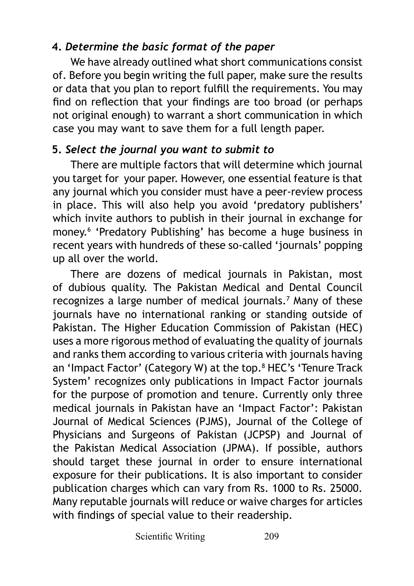# **4.** *Determine the basic format of the paper*

We have already outlined what short communications consist of. Before you begin writing the full paper, make sure the results or data that you plan to report fulfill the requirements. You may find on reflection that your findings are too broad (or perhaps not original enough) to warrant a short communication in which case you may want to save them for a full length paper.

# **5.** *Select the journal you want to submit to*

There are multiple factors that will determine which journal you target for your paper. However, one essential feature is that any journal which you consider must have a peer-review process in place. This will also help you avoid 'predatory publishers' which invite authors to publish in their journal in exchange for money.<sup>6</sup> 'Predatory Publishing' has become a huge business in recent years with hundreds of these so-called 'journals' popping up all over the world.

There are dozens of medical journals in Pakistan, most of dubious quality. The Pakistan Medical and Dental Council recognizes a large number of medical journals.<sup>7</sup> Many of these journals have no international ranking or standing outside of Pakistan. The Higher Education Commission of Pakistan (HEC) uses a more rigorous method of evaluating the quality of journals and ranks them according to various criteria with journals having an 'Impact Factor' (Category W) at the top.<sup>8</sup> HEC's 'Tenure Track System' recognizes only publications in Impact Factor journals for the purpose of promotion and tenure. Currently only three medical journals in Pakistan have an 'Impact Factor': Pakistan Journal of Medical Sciences (PJMS), Journal of the College of Physicians and Surgeons of Pakistan (JCPSP) and Journal of the Pakistan Medical Association (JPMA). If possible, authors should target these journal in order to ensure international exposure for their publications. It is also important to consider publication charges which can vary from Rs. 1000 to Rs. 25000. Many reputable journals will reduce or waive charges for articles with findings of special value to their readership.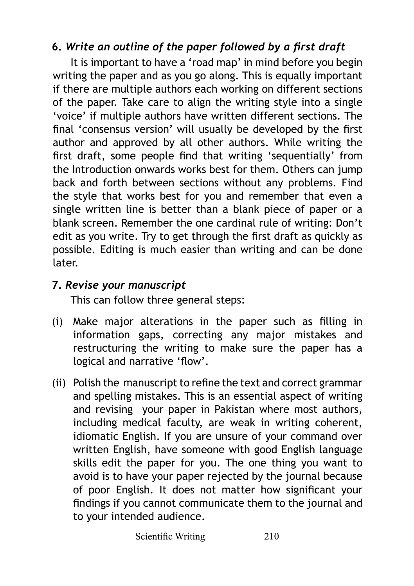# **6.** *Write an outline of the paper followed by a first draft*

It is important to have a 'road map' in mind before you begin writing the paper and as you go along. This is equally important if there are multiple authors each working on different sections of the paper. Take care to align the writing style into a single 'voice' if multiple authors have written different sections. The final 'consensus version' will usually be developed by the first author and approved by all other authors. While writing the first draft, some people find that writing 'sequentially' from the Introduction onwards works best for them. Others can jump back and forth between sections without any problems. Find the style that works best for you and remember that even a single written line is better than a blank piece of paper or a blank screen. Remember the one cardinal rule of writing: Don't edit as you write. Try to get through the first draft as quickly as possible. Editing is much easier than writing and can be done later.

## **7.** *Revise your manuscript*

This can follow three general steps:

- (i) Make major alterations in the paper such as filling in information gaps, correcting any major mistakes and restructuring the writing to make sure the paper has a logical and narrative 'flow'.
- (ii) Polish the manuscript to refine the text and correct grammar and spelling mistakes. This is an essential aspect of writing and revising your paper in Pakistan where most authors, including medical faculty, are weak in writing coherent, idiomatic English. If you are unsure of your command over written English, have someone with good English language skills edit the paper for you. The one thing you want to avoid is to have your paper rejected by the journal because of poor English. It does not matter how significant your findings if you cannot communicate them to the journal and to your intended audience.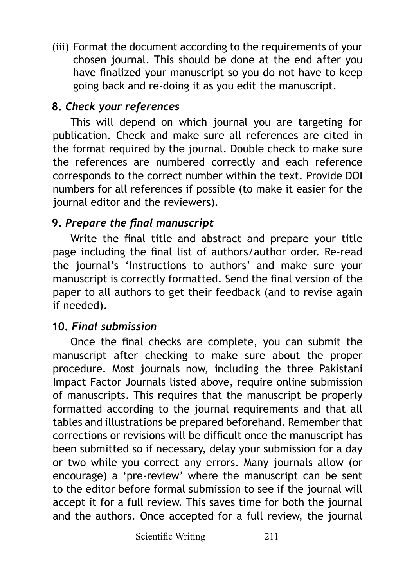(iii) Format the document according to the requirements of your chosen journal. This should be done at the end after you have finalized your manuscript so you do not have to keep going back and re-doing it as you edit the manuscript.

# **8.** *Check your references*

This will depend on which journal you are targeting for publication. Check and make sure all references are cited in the format required by the journal. Double check to make sure the references are numbered correctly and each reference corresponds to the correct number within the text. Provide DOI numbers for all references if possible (to make it easier for the journal editor and the reviewers).

# **9.** *Prepare the final manuscript*

Write the final title and abstract and prepare your title page including the final list of authors/author order. Re-read the journal's 'Instructions to authors' and make sure your manuscript is correctly formatted. Send the final version of the paper to all authors to get their feedback (and to revise again if needed).

## **10.** *Final submission*

Once the final checks are complete, you can submit the manuscript after checking to make sure about the proper procedure. Most journals now, including the three Pakistani Impact Factor Journals listed above, require online submission of manuscripts. This requires that the manuscript be properly formatted according to the journal requirements and that all tables and illustrations be prepared beforehand. Remember that corrections or revisions will be difficult once the manuscript has been submitted so if necessary, delay your submission for a day or two while you correct any errors. Many journals allow (or encourage) a 'pre-review' where the manuscript can be sent to the editor before formal submission to see if the journal will accept it for a full review. This saves time for both the journal and the authors. Once accepted for a full review, the journal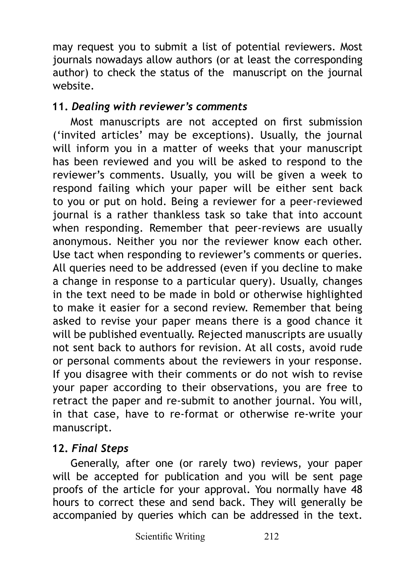may request you to submit a list of potential reviewers. Most journals nowadays allow authors (or at least the corresponding author) to check the status of the manuscript on the journal website.

#### **11.** *Dealing with reviewer's comments*

Most manuscripts are not accepted on first submission ('invited articles' may be exceptions). Usually, the journal will inform you in a matter of weeks that your manuscript has been reviewed and you will be asked to respond to the reviewer's comments. Usually, you will be given a week to respond failing which your paper will be either sent back to you or put on hold. Being a reviewer for a peer-reviewed journal is a rather thankless task so take that into account when responding. Remember that peer-reviews are usually anonymous. Neither you nor the reviewer know each other. Use tact when responding to reviewer's comments or queries. All queries need to be addressed (even if you decline to make a change in response to a particular query). Usually, changes in the text need to be made in bold or otherwise highlighted to make it easier for a second review. Remember that being asked to revise your paper means there is a good chance it will be published eventually. Rejected manuscripts are usually not sent back to authors for revision. At all costs, avoid rude or personal comments about the reviewers in your response. If you disagree with their comments or do not wish to revise your paper according to their observations, you are free to retract the paper and re-submit to another journal. You will, in that case, have to re-format or otherwise re-write your manuscript.

## **12.** *Final Steps*

Generally, after one (or rarely two) reviews, your paper will be accepted for publication and you will be sent page proofs of the article for your approval. You normally have 48 hours to correct these and send back. They will generally be accompanied by queries which can be addressed in the text.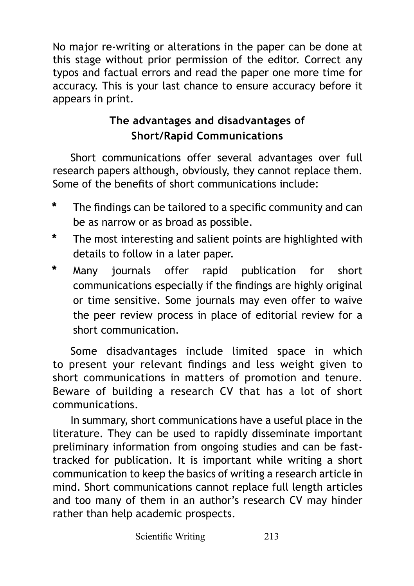No major re-writing or alterations in the paper can be done at this stage without prior permission of the editor. Correct any typos and factual errors and read the paper one more time for accuracy. This is your last chance to ensure accuracy before it appears in print.

# **The advantages and disadvantages of Short/Rapid Communications**

Short communications offer several advantages over full research papers although, obviously, they cannot replace them. Some of the benefits of short communications include:

- **\*** The findings can be tailored to a specific community and can be as narrow or as broad as possible.
- **\*** The most interesting and salient points are highlighted with details to follow in a later paper.
- **\*** Many journals offer rapid publication for short communications especially if the findings are highly original or time sensitive. Some journals may even offer to waive the peer review process in place of editorial review for a short communication.

Some disadvantages include limited space in which to present your relevant findings and less weight given to short communications in matters of promotion and tenure. Beware of building a research CV that has a lot of short communications.

In summary, short communications have a useful place in the literature. They can be used to rapidly disseminate important preliminary information from ongoing studies and can be fasttracked for publication. It is important while writing a short communication to keep the basics of writing a research article in mind. Short communications cannot replace full length articles and too many of them in an author's research CV may hinder rather than help academic prospects.